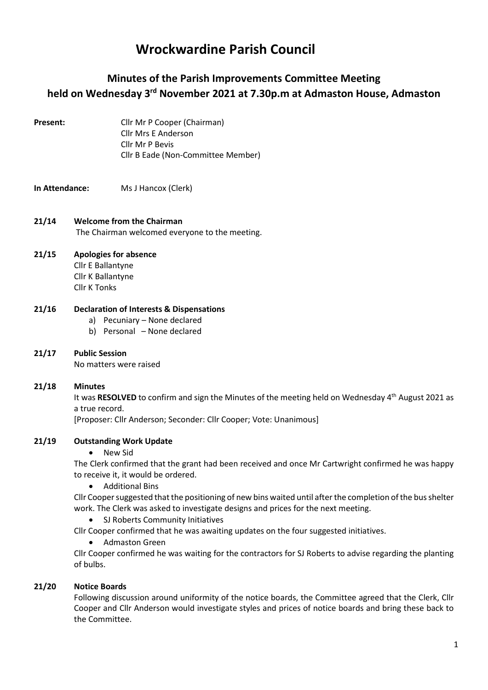# Wrockwardine Parish Council

# Minutes of the Parish Improvements Committee Meeting held on Wednesday 3rd November 2021 at 7.30p.m at Admaston House, Admaston

Present: Cllr Mr P Cooper (Chairman) Cllr Mrs E Anderson Cllr Mr P Bevis Cllr B Eade (Non-Committee Member)

# In Attendance: Ms J Hancox (Clerk)

### 21/14 Welcome from the Chairman The Chairman welcomed everyone to the meeting.

#### 21/15 Apologies for absence Cllr E Ballantyne

Cllr K Ballantyne Cllr K Tonks

#### 21/16 Declaration of Interests & Dispensations

- a) Pecuniary None declared
- b) Personal None declared

# 21/17 Public Session

No matters were raised

#### 21/18 Minutes

It was RESOLVED to confirm and sign the Minutes of the meeting held on Wednesday 4<sup>th</sup> August 2021 as a true record.

[Proposer: Cllr Anderson; Seconder: Cllr Cooper; Vote: Unanimous]

#### 21/19 Outstanding Work Update

New Sid

The Clerk confirmed that the grant had been received and once Mr Cartwright confirmed he was happy to receive it, it would be ordered.

Additional Bins

Cllr Cooper suggested that the positioning of new bins waited until after the completion of the bus shelter work. The Clerk was asked to investigate designs and prices for the next meeting.

• SJ Roberts Community Initiatives

Cllr Cooper confirmed that he was awaiting updates on the four suggested initiatives.

Admaston Green

Cllr Cooper confirmed he was waiting for the contractors for SJ Roberts to advise regarding the planting of bulbs.

# 21/20 Notice Boards

Following discussion around uniformity of the notice boards, the Committee agreed that the Clerk, Cllr Cooper and Cllr Anderson would investigate styles and prices of notice boards and bring these back to the Committee.